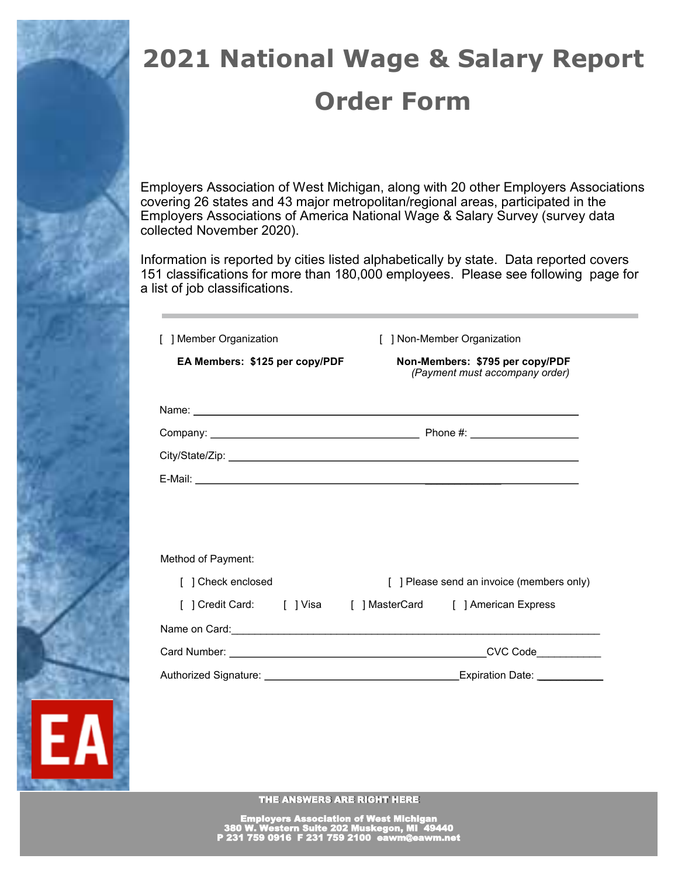

# **2021 National Wage & Salary Report Order Form**

Employers Association of West Michigan, along with 20 other Employers Associations covering 26 states and 43 major metropolitan/regional areas, participated in the Employers Associations of America National Wage & Salary Survey (survey data collected November 2020).

Information is reported by cities listed alphabetically by state. Data reported covers 151 classifications for more than 180,000 employees. Please see following page for a list of job classifications.

| [ ] Member Organization                                                                                                                                                                                                              | [ ] Non-Member Organization                                       |  |
|--------------------------------------------------------------------------------------------------------------------------------------------------------------------------------------------------------------------------------------|-------------------------------------------------------------------|--|
| EA Members: \$125 per copy/PDF                                                                                                                                                                                                       | Non-Members: \$795 per copy/PDF<br>(Payment must accompany order) |  |
| Name: <u>2000 - 2000 - 2000 - 2000 - 2000 - 2000 - 2000 - 2000 - 2000 - 2000 - 2000 - 2000 - 2000 - 2000 - 2000 - 2000 - 2000 - 2000 - 2000 - 2000 - 2000 - 2000 - 2000 - 2000 - 2000 - 2000 - 2000 - 2000 - 2000 - 2000 - 2000 </u> |                                                                   |  |
|                                                                                                                                                                                                                                      |                                                                   |  |
|                                                                                                                                                                                                                                      |                                                                   |  |
|                                                                                                                                                                                                                                      |                                                                   |  |
|                                                                                                                                                                                                                                      |                                                                   |  |
| Method of Payment:                                                                                                                                                                                                                   |                                                                   |  |
| [ ] Check enclosed                                                                                                                                                                                                                   | [ ] Please send an invoice (members only)                         |  |
| [ ] Credit Card: [ ] Visa [ ] MasterCard [ ] American Express                                                                                                                                                                        |                                                                   |  |
|                                                                                                                                                                                                                                      |                                                                   |  |
|                                                                                                                                                                                                                                      |                                                                   |  |
|                                                                                                                                                                                                                                      |                                                                   |  |

THE ANSWERS ARE RIGHT HERE